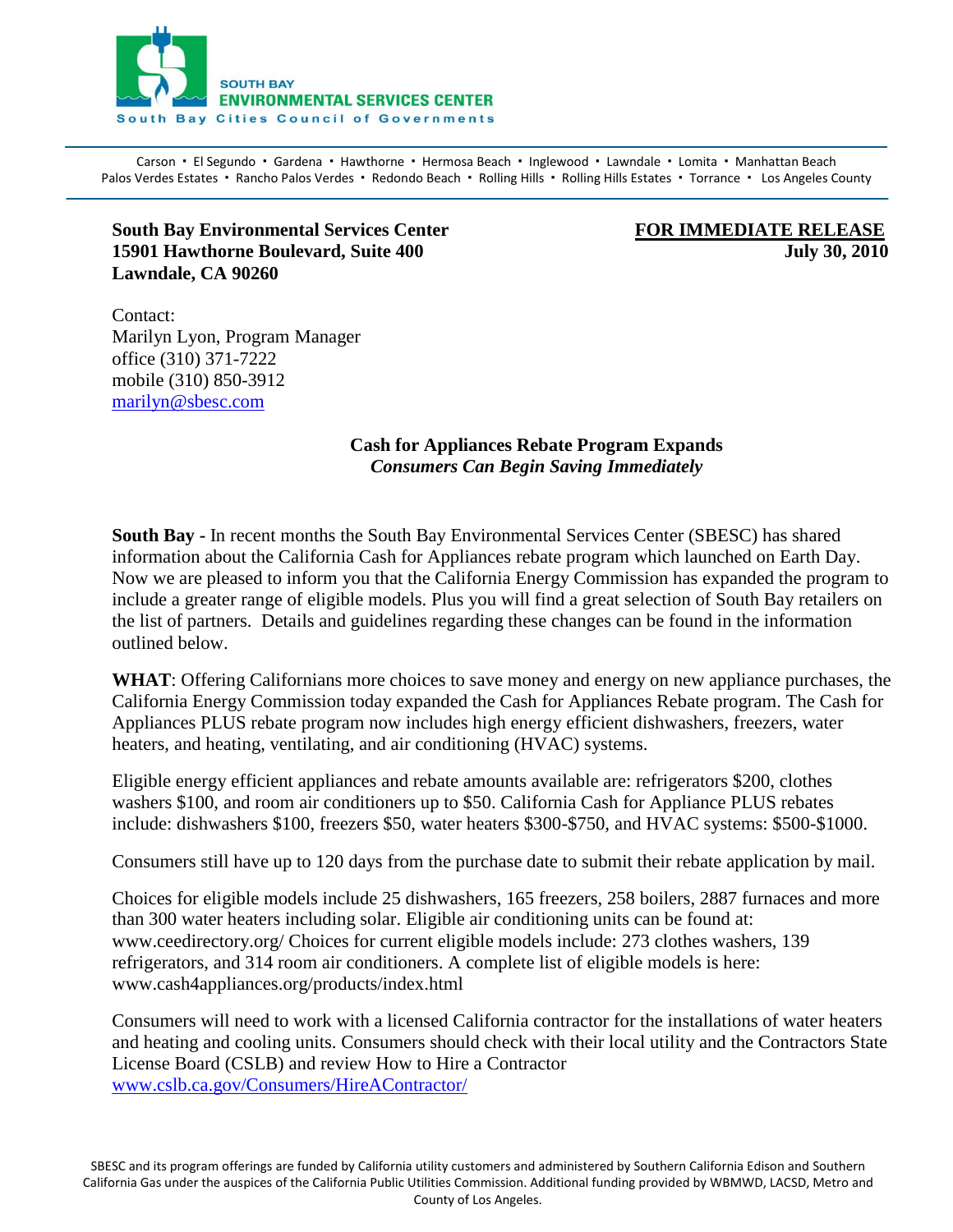

Carson · El Segundo · Gardena · Hawthorne · Hermosa Beach · Inglewood · Lawndale · Lomita · Manhattan Beach Palos Verdes Estates · Rancho Palos Verdes · Redondo Beach · Rolling Hills · Rolling Hills Estates · Torrance · Los Angeles County

## **South Bay Environmental Services Center FOR IMMEDIATE RELEASE 15901 Hawthorne Boulevard, Suite 400 July 30, 2010** July 30, 2010 **Lawndale, CA 90260**

Contact: Marilyn Lyon, Program Manager office (310) 371-7222 mobile (310) 850-3912 [marilyn@sbesc.com](mailto:marilyn@sbesc.com)

## **Cash for Appliances Rebate Program Expands** *Consumers Can Begin Saving Immediately*

**South Bay -** In recent months the South Bay Environmental Services Center (SBESC) has shared information about the California Cash for Appliances rebate program which launched on Earth Day. Now we are pleased to inform you that the California Energy Commission has expanded the program to include a greater range of eligible models. Plus you will find a great selection of South Bay retailers on the list of partners. Details and guidelines regarding these changes can be found in the information outlined below.

**WHAT**: Offering Californians more choices to save money and energy on new appliance purchases, the California Energy Commission today expanded the Cash for Appliances Rebate program. The Cash for Appliances PLUS rebate program now includes high energy efficient dishwashers, freezers, water heaters, and heating, ventilating, and air conditioning (HVAC) systems.

Eligible energy efficient appliances and rebate amounts available are: refrigerators \$200, clothes washers \$100, and room air conditioners up to \$50. California Cash for Appliance PLUS rebates include: dishwashers \$100, freezers \$50, water heaters \$300-\$750, and HVAC systems: \$500-\$1000.

Consumers still have up to 120 days from the purchase date to submit their rebate application by mail.

Choices for eligible models include 25 dishwashers, 165 freezers, 258 boilers, 2887 furnaces and more than 300 water heaters including solar. Eligible air conditioning units can be found at: www.ceedirectory.org/ Choices for current eligible models include: 273 clothes washers, 139 refrigerators, and 314 room air conditioners. A complete list of eligible models is here: www.cash4appliances.org/products/index.html

Consumers will need to work with a licensed California contractor for the installations of water heaters and heating and cooling units. Consumers should check with their local utility and the Contractors State License Board (CSLB) and review How to Hire a Contractor [www.cslb.ca.gov/Consumers/HireAContractor/](http://www.cslb.ca.gov/Consumers/HireAContractor/)